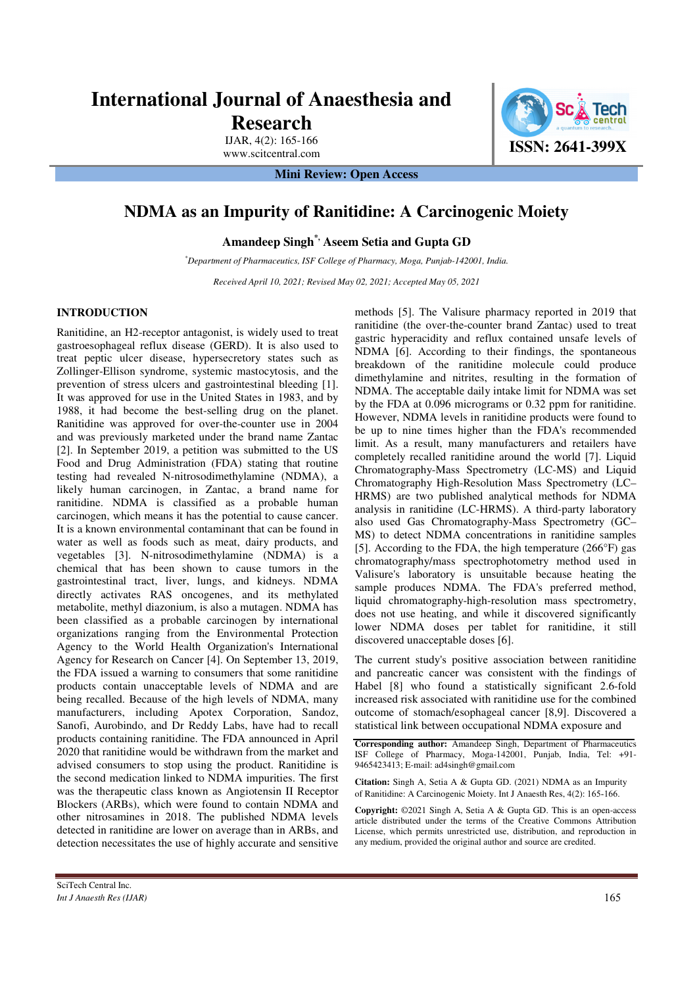## **International Journal of Anaesthesia and Research**

IJAR, 4(2): 165-166

**Mini Review: Open Access** 

## **NDMA as an Impurity of Ranitidine: A Carcinogenic Moiety**

**Amandeep Singh\*, Aseem Setia and Gupta GD** 

*\*Department of Pharmaceutics, ISF College of Pharmacy, Moga, Punjab-142001, India.* 

*Received April 10, 2021; Revised May 02, 2021; Accepted May 05, 2021* 

## **INTRODUCTION**

Ranitidine, an H2-receptor antagonist, is widely used to treat gastroesophageal reflux disease (GERD). It is also used to treat peptic ulcer disease, hypersecretory states such as Zollinger-Ellison syndrome, systemic mastocytosis, and the prevention of stress ulcers and gastrointestinal bleeding [1]. It was approved for use in the United States in 1983, and by 1988, it had become the best-selling drug on the planet. Ranitidine was approved for over-the-counter use in 2004 and was previously marketed under the brand name Zantac [2]. In September 2019, a petition was submitted to the US Food and Drug Administration (FDA) stating that routine testing had revealed N-nitrosodimethylamine (NDMA), a likely human carcinogen, in Zantac, a brand name for ranitidine. NDMA is classified as a probable human carcinogen, which means it has the potential to cause cancer. It is a known environmental contaminant that can be found in water as well as foods such as meat, dairy products, and vegetables [3]. N-nitrosodimethylamine (NDMA) is a chemical that has been shown to cause tumors in the gastrointestinal tract, liver, lungs, and kidneys. NDMA directly activates RAS oncogenes, and its methylated metabolite, methyl diazonium, is also a mutagen. NDMA has been classified as a probable carcinogen by international organizations ranging from the Environmental Protection Agency to the World Health Organization's International Agency for Research on Cancer [4]. On September 13, 2019, the FDA issued a warning to consumers that some ranitidine products contain unacceptable levels of NDMA and are being recalled. Because of the high levels of NDMA, many manufacturers, including Apotex Corporation, Sandoz, Sanofi, Aurobindo, and Dr Reddy Labs, have had to recall products containing ranitidine. The FDA announced in April 2020 that ranitidine would be withdrawn from the market and advised consumers to stop using the product. Ranitidine is the second medication linked to NDMA impurities. The first was the therapeutic class known as Angiotensin II Receptor Blockers (ARBs), which were found to contain NDMA and other nitrosamines in 2018. The published NDMA levels detected in ranitidine are lower on average than in ARBs, and detection necessitates the use of highly accurate and sensitive methods [5]. The Valisure pharmacy reported in 2019 that ranitidine (the over-the-counter brand Zantac) used to treat gastric hyperacidity and reflux contained unsafe levels of NDMA [6]. According to their findings, the spontaneous breakdown of the ranitidine molecule could produce dimethylamine and nitrites, resulting in the formation of NDMA. The acceptable daily intake limit for NDMA was set by the FDA at 0.096 micrograms or 0.32 ppm for ranitidine. However, NDMA levels in ranitidine products were found to be up to nine times higher than the FDA's recommended limit. As a result, many manufacturers and retailers have completely recalled ranitidine around the world [7]. Liquid Chromatography-Mass Spectrometry (LC-MS) and Liquid Chromatography High-Resolution Mass Spectrometry (LC– HRMS) are two published analytical methods for NDMA analysis in ranitidine (LC-HRMS). A third-party laboratory also used Gas Chromatography-Mass Spectrometry (GC– MS) to detect NDMA concentrations in ranitidine samples [5]. According to the FDA, the high temperature (266°F) gas chromatography/mass spectrophotometry method used in Valisure's laboratory is unsuitable because heating the sample produces NDMA. The FDA's preferred method, liquid chromatography-high-resolution mass spectrometry, does not use heating, and while it discovered significantly lower NDMA doses per tablet for ranitidine, it still discovered unacceptable doses [6].

The current study's positive association between ranitidine and pancreatic cancer was consistent with the findings of Habel [8] who found a statistically significant 2.6-fold increased risk associated with ranitidine use for the combined outcome of stomach/esophageal cancer [8,9]. Discovered a statistical link between occupational NDMA exposure and

**Corresponding author:** Amandeep Singh, Department of Pharmaceutics ISF College of Pharmacy, Moga-142001, Punjab, India, Tel: +91- 9465423413; E-mail: ad4singh@gmail.com

**Citation:** Singh A, Setia A & Gupta GD. (2021) NDMA as an Impurity of Ranitidine: A Carcinogenic Moiety. Int J Anaesth Res, 4(2): 165-166.

**Copyright:** ©2021 Singh A, Setia A & Gupta GD. This is an open-access article distributed under the terms of the Creative Commons Attribution License, which permits unrestricted use, distribution, and reproduction in any medium, provided the original author and source are credited.